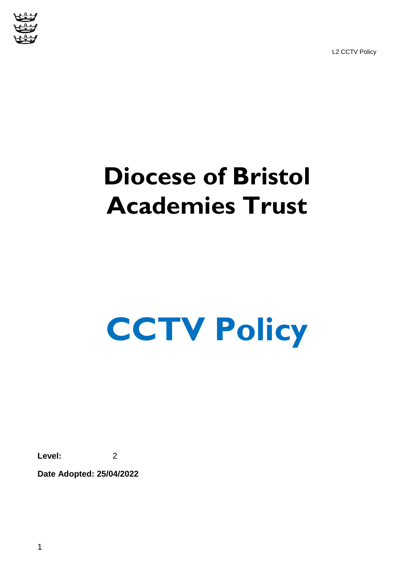L2 CCTV Policy



# **Diocese of Bristol Academies Trust**

# **CCTV Policy**

**Level:** 2

**Date Adopted: 25/04/2022**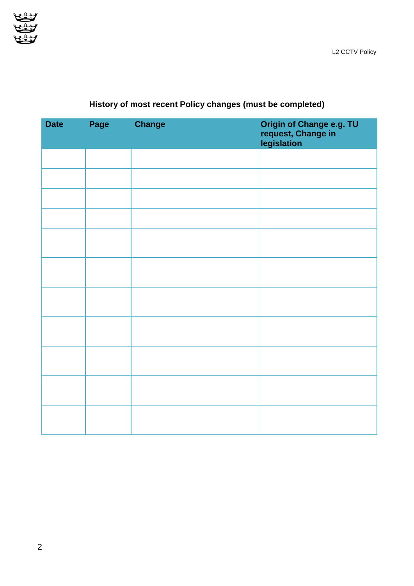

| <b>Date</b> | Page | <b>Change</b> | Origin of Change e.g. TU<br>request, Change in<br>legislation |
|-------------|------|---------------|---------------------------------------------------------------|
|             |      |               |                                                               |
|             |      |               |                                                               |
|             |      |               |                                                               |
|             |      |               |                                                               |
|             |      |               |                                                               |
|             |      |               |                                                               |
|             |      |               |                                                               |
|             |      |               |                                                               |
|             |      |               |                                                               |
|             |      |               |                                                               |
|             |      |               |                                                               |

## **History of most recent Policy changes (must be completed)**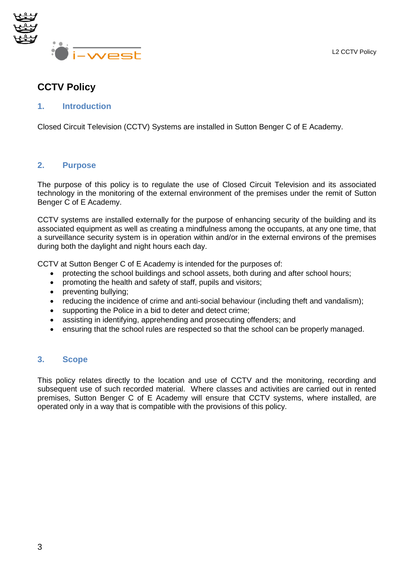L2 CCTV Policy



### **CCTV Policy**

#### **1. Introduction**

Closed Circuit Television (CCTV) Systems are installed in Sutton Benger C of E Academy.

#### **2. Purpose**

The purpose of this policy is to regulate the use of Closed Circuit Television and its associated technology in the monitoring of the external environment of the premises under the remit of Sutton Benger C of E Academy.

CCTV systems are installed externally for the purpose of enhancing security of the building and its associated equipment as well as creating a mindfulness among the occupants, at any one time, that a surveillance security system is in operation within and/or in the external environs of the premises during both the daylight and night hours each day.

CCTV at Sutton Benger C of E Academy is intended for the purposes of:

- protecting the school buildings and school assets, both during and after school hours;
- promoting the health and safety of staff, pupils and visitors;
- preventing bullying;
- reducing the incidence of crime and anti-social behaviour (including theft and vandalism);
- supporting the Police in a bid to deter and detect crime;
- assisting in identifying, apprehending and prosecuting offenders; and
- ensuring that the school rules are respected so that the school can be properly managed.

#### **3. Scope**

This policy relates directly to the location and use of CCTV and the monitoring, recording and subsequent use of such recorded material. Where classes and activities are carried out in rented premises, Sutton Benger C of E Academy will ensure that CCTV systems, where installed, are operated only in a way that is compatible with the provisions of this policy.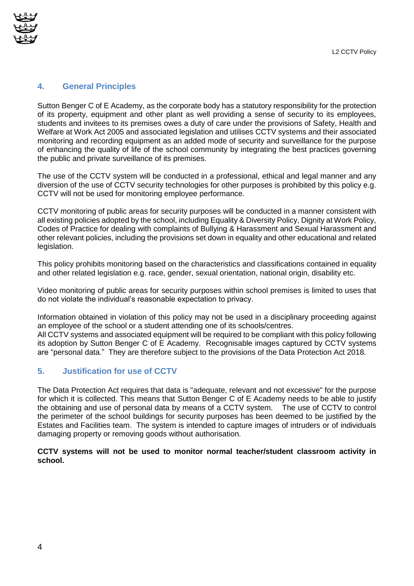

#### **4. General Principles**

Sutton Benger C of E Academy, as the corporate body has a statutory responsibility for the protection of its property, equipment and other plant as well providing a sense of security to its employees, students and invitees to its premises owes a duty of care under the provisions of Safety, Health and Welfare at Work Act 2005 and associated legislation and utilises CCTV systems and their associated monitoring and recording equipment as an added mode of security and surveillance for the purpose of enhancing the quality of life of the school community by integrating the best practices governing the public and private surveillance of its premises.

The use of the CCTV system will be conducted in a professional, ethical and legal manner and any diversion of the use of CCTV security technologies for other purposes is prohibited by this policy e.g. CCTV will not be used for monitoring employee performance.

CCTV monitoring of public areas for security purposes will be conducted in a manner consistent with all existing policies adopted by the school, including Equality & Diversity Policy, Dignity at Work Policy, Codes of Practice for dealing with complaints of Bullying & Harassment and Sexual Harassment and other relevant policies, including the provisions set down in equality and other educational and related legislation.

This policy prohibits monitoring based on the characteristics and classifications contained in equality and other related legislation e.g. race, gender, sexual orientation, national origin, disability etc.

Video monitoring of public areas for security purposes within school premises is limited to uses that do not violate the individual's reasonable expectation to privacy.

Information obtained in violation of this policy may not be used in a disciplinary proceeding against an employee of the school or a student attending one of its schools/centres.

All CCTV systems and associated equipment will be required to be compliant with this policy following its adoption by Sutton Benger C of E Academy. Recognisable images captured by CCTV systems are ["personal data.](http://www.dataprotection.ie/viewdoc.asp?m=m&fn=/documents/guidance/310604.htm)" They are therefore subject to the provisions of the Data Protection Act 2018.

#### **5. Justification for use of CCTV**

The Data Protection Act requires that data is "adequate, relevant and not excessive" for the purpose for which it is collected. This means that Sutton Benger C of E Academy needs to be able to justify the obtaining and use of personal data by means of a CCTV system. The use of CCTV to control the perimeter of the school buildings for security purposes has been deemed to be justified by the Estates and Facilities team. The system is intended to capture images of intruders or of individuals damaging property or removing goods without authorisation.

**CCTV systems will not be used to monitor normal teacher/student classroom activity in school.**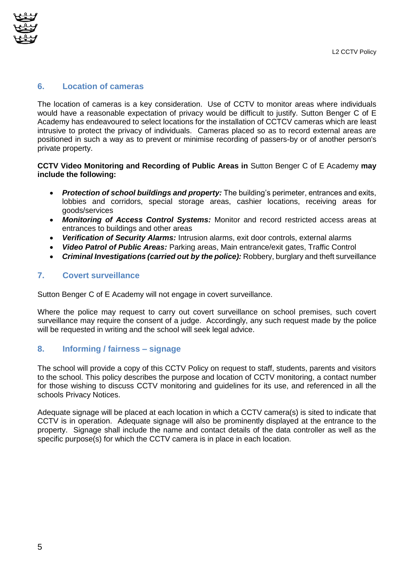

#### **6. Location of cameras**

The location of cameras is a key consideration. Use of CCTV to monitor areas where individuals would have a reasonable expectation of privacy would be difficult to justify. Sutton Benger C of E Academy has endeavoured to select locations for the installation of CCTCV cameras which are least intrusive to protect the privacy of individuals. Cameras placed so as to record external areas are positioned in such a way as to prevent or minimise recording of passers-by or of another person's private property.

#### **CCTV Video Monitoring and Recording of Public Areas in** Sutton Benger C of E Academy **may include the following:**

- *Protection of school buildings and property:* The building's perimeter, entrances and exits, lobbies and corridors, special storage areas, cashier locations, receiving areas for goods/services
- *Monitoring of Access Control Systems:* Monitor and record restricted access areas at entrances to buildings and other areas
- *Verification of Security Alarms:* Intrusion alarms, exit door controls, external alarms
- *Video Patrol of Public Areas:* Parking areas, Main entrance/exit gates, Traffic Control
- *Criminal Investigations (carried out by the police):* Robbery, burglary and theft surveillance

#### **7. Covert surveillance**

Sutton Benger C of E Academy will not engage in covert surveillance.

Where the police may request to carry out covert surveillance on school premises, such covert surveillance may require the consent of a judge. Accordingly, any such request made by the police will be requested in writing and the school will seek legal advice.

#### **8. Informing / fairness – signage**

The school will provide a copy of this CCTV Policy on request to staff, students, parents and visitors to the school. This policy describes the purpose and location of CCTV monitoring, a contact number for those wishing to discuss CCTV monitoring and guidelines for its use, and referenced in all the schools Privacy Notices.

Adequate signage will be placed at each location in which a CCTV camera(s) is sited to indicate that CCTV is in operation. Adequate signage will also be prominently displayed at the entrance to the property. Signage shall include the name and contact details of the data controller as well as the specific purpose(s) for which the CCTV camera is in place in each location.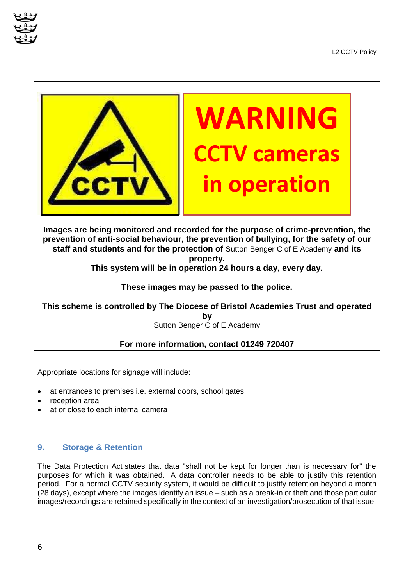



**Images are being monitored and recorded for the purpose of crime-prevention, the prevention of anti-social behaviour, the prevention of bullying, for the safety of our staff and students and for the protection of** Sutton Benger C of E Academy **and its property.** 

**This system will be in operation 24 hours a day, every day.** 

#### **These images may be passed to the police.**

**This scheme is controlled by The Diocese of Bristol Academies Trust and operated by**  Sutton Benger C of E Academy

#### **For more information, contact 01249 720407**

Appropriate locations for signage will include:

- at entrances to premises i.e. external doors, school gates
- reception area
- at or close to each internal camera

#### **9. Storage & Retention**

The Data Protection Act states that data "shall not be kept for longer than is necessary for" the purposes for which it was obtained. A data controller needs to be able to justify this retention period. For a normal CCTV security system, it would be difficult to justify retention beyond a month (28 days), except where the images identify an issue – such as a break-in or theft and those particular images/recordings are retained specifically in the context of an investigation/prosecution of that issue.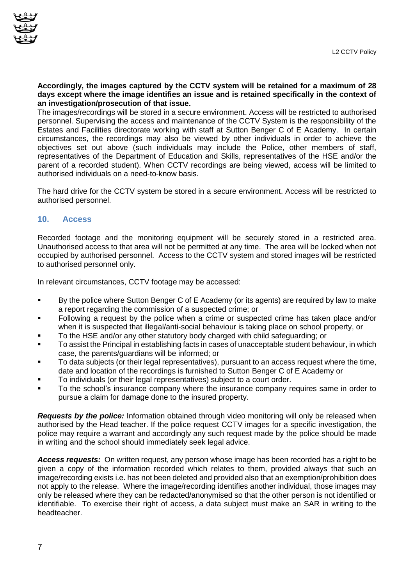#### **Accordingly, the images captured by the CCTV system will be retained for a maximum of 28 days except where the image identifies an issue and is retained specifically in the context of an investigation/prosecution of that issue.**

The images/recordings will be stored in a secure environment. Access will be restricted to authorised personnel. Supervising the access and maintenance of the CCTV System is the responsibility of the Estates and Facilities directorate working with staff at Sutton Benger C of E Academy. In certain circumstances, the recordings may also be viewed by other individuals in order to achieve the objectives set out above (such individuals may include the Police, other members of staff, representatives of the Department of Education and Skills, representatives of the HSE and/or the parent of a recorded student). When CCTV recordings are being viewed, access will be limited to authorised individuals on a need-to-know basis.

The hard drive for the CCTV system be stored in a secure environment. Access will be restricted to authorised personnel.

#### **10. Access**

Recorded footage and the monitoring equipment will be securely stored in a restricted area. Unauthorised access to that area will not be permitted at any time. The area will be locked when not occupied by authorised personnel. Access to the CCTV system and stored images will be restricted to authorised personnel only.

In relevant circumstances, CCTV footage may be accessed:

- By the police where Sutton Benger C of E Academy (or its agents) are required by law to make a report regarding the commission of a suspected crime; or
- Following a request by the police when a crime or suspected crime has taken place and/or when it is suspected that illegal/anti-social behaviour is taking place on school property, or
- To the HSE and/or any other statutory body charged with child safeguarding; or
- To assist the Principal in establishing facts in cases of unacceptable student behaviour, in which case, the parents/guardians will be informed; or
- To data subjects (or their legal representatives), pursuant to an access request where the time, date and location of the recordings is furnished to Sutton Benger C of E Academy or
- To individuals (or their legal representatives) subject to a court order.
- To the school's insurance company where the insurance company requires same in order to pursue a claim for damage done to the insured property.

*Requests by the police:* Information obtained through video monitoring will only be released when authorised by the Head teacher. If the police request CCTV images for a specific investigation, the police may require a warrant and accordingly any such request made by the police should be made in writing and the school should immediately seek legal advice.

*Access requests:* On written request, any person whose image has been recorded has a right to be given a copy of the information recorded which relates to them, provided always that such an image/recording exists i.e. has not been deleted and provided also that an exemption/prohibition does not apply to the release. Where the image/recording identifies another individual, those images may only be released where they can be redacted/anonymised so that the other person is not identified or identifiable. To exercise their right of access, a data subject must make an SAR in writing to the headteacher.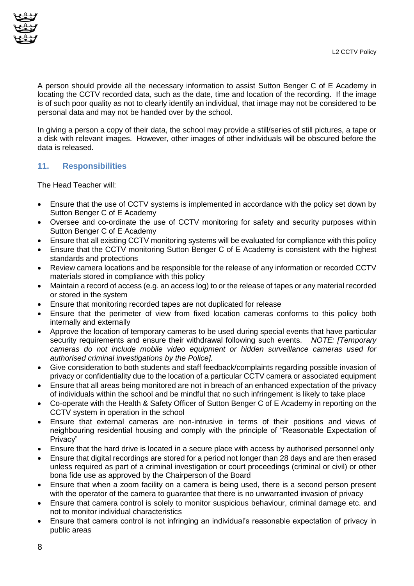

A person should provide all the necessary information to assist Sutton Benger C of E Academy in locating the CCTV recorded data, such as the date, time and location of the recording. If the image is of such poor quality as not to clearly identify an individual, that image may not be considered to be personal data and may not be handed over by the school.

In giving a person a copy of their data, the school may provide a still/series of still pictures, a tape or a disk with relevant images. However, other images of other individuals will be obscured before the data is released.

#### **11. Responsibilities**

The Head Teacher will:

- Ensure that the use of CCTV systems is implemented in accordance with the policy set down by Sutton Benger C of E Academy
- Oversee and co-ordinate the use of CCTV monitoring for safety and security purposes within Sutton Benger C of E Academy
- Ensure that all existing CCTV monitoring systems will be evaluated for compliance with this policy
- Ensure that the CCTV monitoring Sutton Benger C of E Academy is consistent with the highest standards and protections
- Review camera locations and be responsible for the release of any information or recorded CCTV materials stored in compliance with this policy
- Maintain a record of access (e.g. an access log) to or the release of tapes or any material recorded or stored in the system
- Ensure that monitoring recorded tapes are not duplicated for release
- Ensure that the perimeter of view from fixed location cameras conforms to this policy both internally and externally
- Approve the location of temporary cameras to be used during special events that have particular security requirements and ensure their withdrawal following such events. *NOTE: [Temporary cameras do not include mobile video equipment or hidden surveillance cameras used for authorised criminal investigations by the Police].*
- Give consideration to both students and staff feedback/complaints regarding possible invasion of privacy or confidentiality due to the location of a particular CCTV camera or associated equipment
- Ensure that all areas being monitored are not in breach of an enhanced expectation of the privacy of individuals within the school and be mindful that no such infringement is likely to take place
- Co-operate with the Health & Safety Officer of Sutton Benger C of E Academy in reporting on the CCTV system in operation in the school
- Ensure that external cameras are non-intrusive in terms of their positions and views of neighbouring residential housing and comply with the principle of "Reasonable Expectation of Privacy"
- Ensure that the hard drive is located in a secure place with access by authorised personnel only
- Ensure that digital recordings are stored for a period not longer than 28 days and are then erased unless required as part of a criminal investigation or court proceedings (criminal or civil) or other bona fide use as approved by the Chairperson of the Board
- Ensure that when a zoom facility on a camera is being used, there is a second person present with the operator of the camera to quarantee that there is no unwarranted invasion of privacy
- Ensure that camera control is solely to monitor suspicious behaviour, criminal damage etc. and not to monitor individual characteristics
- Ensure that camera control is not infringing an individual's reasonable expectation of privacy in public areas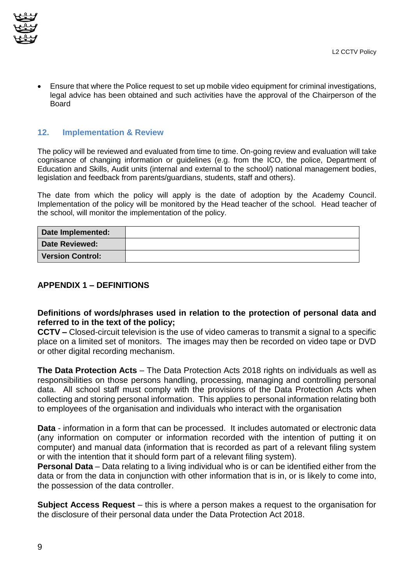Ensure that where the Police request to set up mobile video equipment for criminal investigations, legal advice has been obtained and such activities have the approval of the Chairperson of the **Board** 

#### **12. Implementation & Review**

The policy will be reviewed and evaluated from time to time. On-going review and evaluation will take cognisance of changing information or guidelines (e.g. from the ICO, the police, Department of Education and Skills, Audit units (internal and external to the school/) national management bodies, legislation and feedback from parents/guardians, students, staff and others).

The date from which the policy will apply is the date of adoption by the Academy Council. Implementation of the policy will be monitored by the Head teacher of the school. Head teacher of the school, will monitor the implementation of the policy.

| Date Implemented:       |  |
|-------------------------|--|
| <b>Date Reviewed:</b>   |  |
| <b>Version Control:</b> |  |

#### **APPENDIX 1 – DEFINITIONS**

#### **Definitions of words/phrases used in relation to the protection of personal data and referred to in the text of the policy;**

**CCTV –** Closed-circuit television is the use of video cameras to transmit a signal to a specific place on a limited set of monitors. The images may then be recorded on video tape or DVD or other digital recording mechanism.

**The Data Protection Acts** – The Data Protection Acts 2018 rights on individuals as well as responsibilities on those persons handling, processing, managing and controlling personal data. All school staff must comply with the provisions of the Data Protection Acts when collecting and storing personal information. This applies to personal information relating both to employees of the organisation and individuals who interact with the organisation

**Data** - information in a form that can be processed. It includes automated or electronic data (any information on computer or information recorded with the intention of putting it on computer) and manual data (information that is recorded as part of a relevant filing system or with the intention that it should form part of a relevant filing system).

**Personal Data** – Data relating to a living individual who is or can be identified either from the data or from the data in conjunction with other information that is in, or is likely to come into, the possession of the data controller.

**Subject Access Request** – this is where a person makes a request to the organisation for the disclosure of their personal data under the Data Protection Act 2018.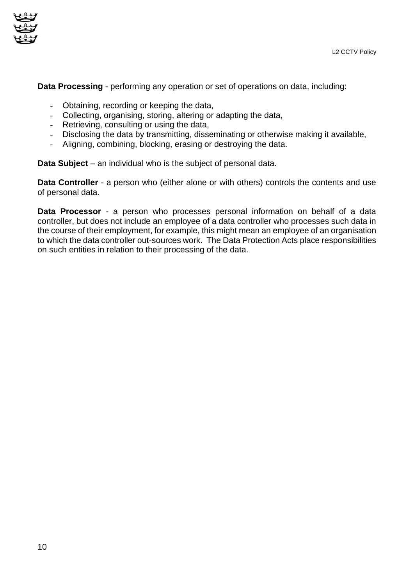

**Data Processing** - performing any operation or set of operations on data, including:

- Obtaining, recording or keeping the data,
- Collecting, organising, storing, altering or adapting the data,
- Retrieving, consulting or using the data,
- Disclosing the data by transmitting, disseminating or otherwise making it available,
- Aligning, combining, blocking, erasing or destroying the data.

**Data Subject** – an individual who is the subject of personal data.

**Data Controller** - a person who (either alone or with others) controls the contents and use of personal data.

**Data Processor** - a person who processes personal information on behalf of a data controller, but does not include an employee of a data controller who processes such data in the course of their employment, for example, this might mean an employee of an organisation to which the data controller out-sources work. The Data Protection Acts place responsibilities on such entities in relation to their processing of the data.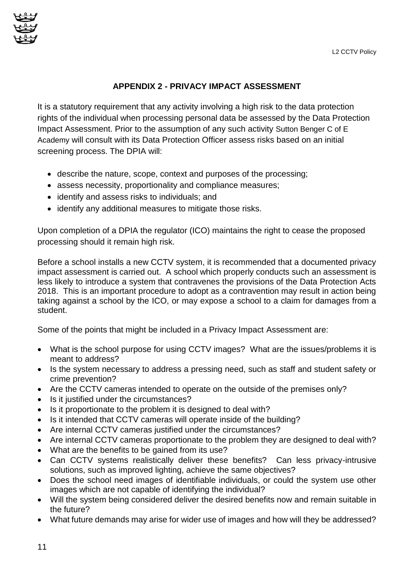

#### **APPENDIX 2 - PRIVACY IMPACT ASSESSMENT**

It is a statutory requirement that any activity involving a high risk to the data protection rights of the individual when processing personal data be assessed by the Data Protection Impact Assessment. Prior to the assumption of any such activity Sutton Benger C of E Academy will consult with its Data Protection Officer assess risks based on an initial screening process. The DPIA will:

- describe the nature, scope, context and purposes of the processing;
- assess necessity, proportionality and compliance measures;
- identify and assess risks to individuals; and
- identify any additional measures to mitigate those risks.

Upon completion of a DPIA the regulator (ICO) maintains the right to cease the proposed processing should it remain high risk.

Before a school installs a new CCTV system, it is recommended that a documented privacy impact assessment is carried out. A school which properly conducts such an assessment is less likely to introduce a system that contravenes the provisions of the Data Protection Acts 2018. This is an important procedure to adopt as a contravention may result in action being taking against a school by the ICO, or may expose a school to a claim for damages from a student.

Some of the points that might be included in a Privacy Impact Assessment are:

- What is the school purpose for using CCTV images? What are the issues/problems it is meant to address?
- Is the system necessary to address a pressing need, such as staff and student safety or crime prevention?
- Are the CCTV cameras intended to operate on the outside of the premises only?
- Is it justified under the circumstances?
- Is it proportionate to the problem it is designed to deal with?
- Is it intended that CCTV cameras will operate inside of the building?
- Are internal CCTV cameras justified under the circumstances?
- Are internal CCTV cameras proportionate to the problem they are designed to deal with?
- What are the benefits to be gained from its use?
- Can CCTV systems realistically deliver these benefits? Can less privacy-intrusive solutions, such as improved lighting, achieve the same objectives?
- Does the school need images of identifiable individuals, or could the system use other images which are not capable of identifying the individual?
- Will the system being considered deliver the desired benefits now and remain suitable in the future?
- What future demands may arise for wider use of images and how will they be addressed?